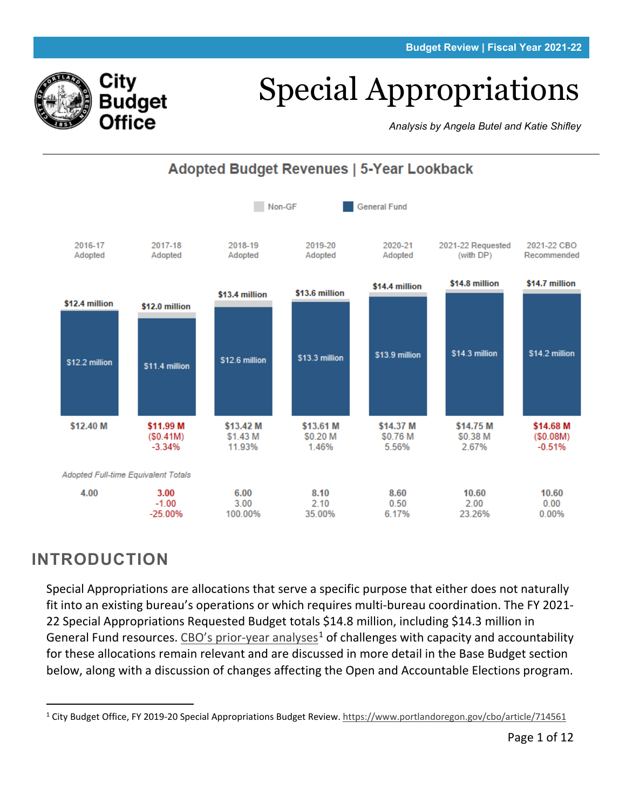# Special Appropriations

*Analysis by Angela Butel and Katie Shifley*



## **INTRODUCTION**

City

Budget **Office** 

Special Appropriations are allocations that serve a specific purpose that either does not naturally fit into an existing bureau's operations or which requires multi-bureau coordination. The FY 2021- 22 Special Appropriations Requested Budget totals \$14.8 million, including \$14.3 million in General Fund resources. [CBO's prior-year analyses](https://www.portlandoregon.gov/cbo/article/714561)<sup>[1](#page-0-0)</sup> of challenges with capacity and accountability for these allocations remain relevant and are discussed in more detail in the Base Budget section below, along with a discussion of changes affecting the Open and Accountable Elections program.

<span id="page-0-0"></span><sup>&</sup>lt;sup>1</sup> City Budget Office, FY 2019-20 Special Appropriations Budget Review[. https://www.portlandoregon.gov/cbo/article/714561](https://www.portlandoregon.gov/cbo/article/714561)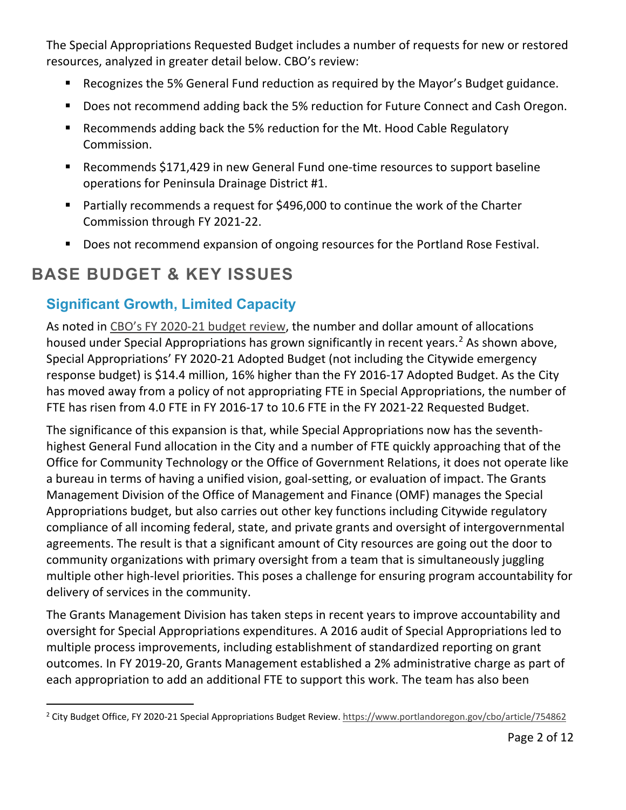The Special Appropriations Requested Budget includes a number of requests for new or restored resources, analyzed in greater detail below. CBO's review:

- Recognizes the 5% General Fund reduction as required by the Mayor's Budget guidance.
- Does not recommend adding back the 5% reduction for Future Connect and Cash Oregon.
- Recommends adding back the 5% reduction for the Mt. Hood Cable Regulatory Commission.
- Recommends \$171,429 in new General Fund one-time resources to support baseline operations for Peninsula Drainage District #1.
- Partially recommends a request for \$496,000 to continue the work of the Charter Commission through FY 2021-22.
- Does not recommend expansion of ongoing resources for the Portland Rose Festival.

# **BASE BUDGET & KEY ISSUES**

## **Significant Growth, Limited Capacity**

As noted in [CBO's FY 2020-21 budget review,](https://www.portlandoregon.gov/cbo/article/754862) the number and dollar amount of allocations housed under Special Appropriations has grown significantly in recent years.<sup>[2](#page-1-0)</sup> As shown above, Special Appropriations' FY 2020-21 Adopted Budget (not including the Citywide emergency response budget) is \$14.4 million, 16% higher than the FY 2016-17 Adopted Budget. As the City has moved away from a policy of not appropriating FTE in Special Appropriations, the number of FTE has risen from 4.0 FTE in FY 2016-17 to 10.6 FTE in the FY 2021-22 Requested Budget.

The significance of this expansion is that, while Special Appropriations now has the seventhhighest General Fund allocation in the City and a number of FTE quickly approaching that of the Office for Community Technology or the Office of Government Relations, it does not operate like a bureau in terms of having a unified vision, goal-setting, or evaluation of impact. The Grants Management Division of the Office of Management and Finance (OMF) manages the Special Appropriations budget, but also carries out other key functions including Citywide regulatory compliance of all incoming federal, state, and private grants and oversight of intergovernmental agreements. The result is that a significant amount of City resources are going out the door to community organizations with primary oversight from a team that is simultaneously juggling multiple other high-level priorities. This poses a challenge for ensuring program accountability for delivery of services in the community.

The Grants Management Division has taken steps in recent years to improve accountability and oversight for Special Appropriations expenditures. A 2016 audit of Special Appropriations led to multiple process improvements, including establishment of standardized reporting on grant outcomes. In FY 2019-20, Grants Management established a 2% administrative charge as part of each appropriation to add an additional FTE to support this work. The team has also been

<span id="page-1-0"></span><sup>&</sup>lt;sup>2</sup> City Budget Office, FY 2020-21 Special Appropriations Budget Review[. https://www.portlandoregon.gov/cbo/article/754862](https://www.portlandoregon.gov/cbo/article/754862)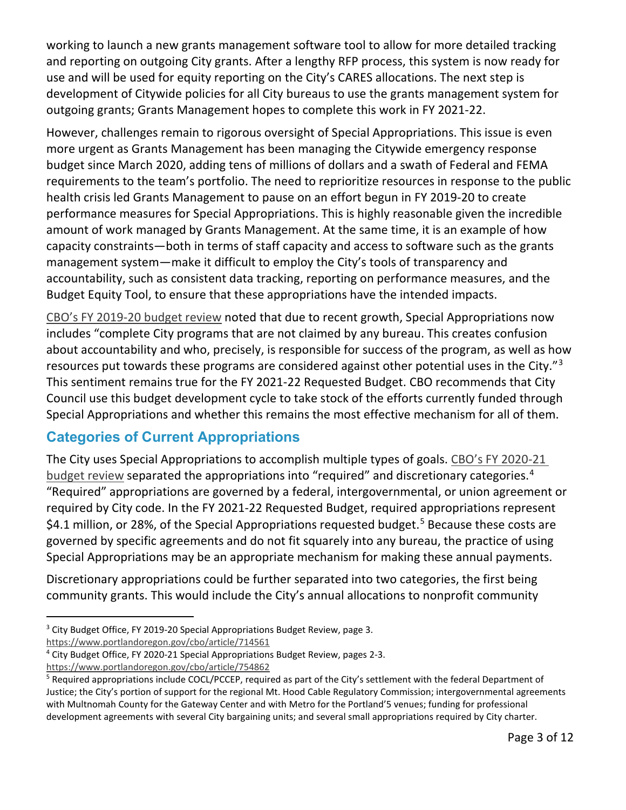working to launch a new grants management software tool to allow for more detailed tracking and reporting on outgoing City grants. After a lengthy RFP process, this system is now ready for use and will be used for equity reporting on the City's CARES allocations. The next step is development of Citywide policies for all City bureaus to use the grants management system for outgoing grants; Grants Management hopes to complete this work in FY 2021-22.

However, challenges remain to rigorous oversight of Special Appropriations. This issue is even more urgent as Grants Management has been managing the Citywide emergency response budget since March 2020, adding tens of millions of dollars and a swath of Federal and FEMA requirements to the team's portfolio. The need to reprioritize resources in response to the public health crisis led Grants Management to pause on an effort begun in FY 2019-20 to create performance measures for Special Appropriations. This is highly reasonable given the incredible amount of work managed by Grants Management. At the same time, it is an example of how capacity constraints—both in terms of staff capacity and access to software such as the grants management system—make it difficult to employ the City's tools of transparency and accountability, such as consistent data tracking, reporting on performance measures, and the Budget Equity Tool, to ensure that these appropriations have the intended impacts.

[CBO's FY 2019-20 budget review](https://www.portlandoregon.gov/cbo/article/714561) noted that due to recent growth, Special Appropriations now includes "complete City programs that are not claimed by any bureau. This creates confusion about accountability and who, precisely, is responsible for success of the program, as well as how resources put towards these programs are considered against other potential uses in the City."[3](#page-2-0) This sentiment remains true for the FY 2021-22 Requested Budget. CBO recommends that City Council use this budget development cycle to take stock of the efforts currently funded through Special Appropriations and whether this remains the most effective mechanism for all of them.

## **Categories of Current Appropriations**

The City uses Special Appropriations to accomplish multiple types of goals. CBO's FY 2020-21 [budget review](https://www.portlandoregon.gov/cbo/article/754862) separated the appropriations into "required" and discretionary categories.<sup>[4](#page-2-1)</sup> "Required" appropriations are governed by a federal, intergovernmental, or union agreement or required by City code. In the FY 2021-22 Requested Budget, required appropriations represent \$4.1 million, or 28%, of the Special Appropriations requested budget.<sup>[5](#page-2-2)</sup> Because these costs are governed by specific agreements and do not fit squarely into any bureau, the practice of using Special Appropriations may be an appropriate mechanism for making these annual payments.

Discretionary appropriations could be further separated into two categories, the first being community grants. This would include the City's annual allocations to nonprofit community

<https://www.portlandoregon.gov/cbo/article/714561>

<span id="page-2-1"></span><sup>4</sup> City Budget Office, FY 2020-21 Special Appropriations Budget Review, pages 2-3.

<https://www.portlandoregon.gov/cbo/article/754862>

<span id="page-2-0"></span><sup>&</sup>lt;sup>3</sup> City Budget Office, FY 2019-20 Special Appropriations Budget Review, page 3.

<span id="page-2-2"></span><sup>&</sup>lt;sup>5</sup> Required appropriations include COCL/PCCEP, required as part of the City's settlement with the federal Department of Justice; the City's portion of support for the regional Mt. Hood Cable Regulatory Commission; intergovernmental agreements with Multnomah County for the Gateway Center and with Metro for the Portland'5 venues; funding for professional development agreements with several City bargaining units; and several small appropriations required by City charter.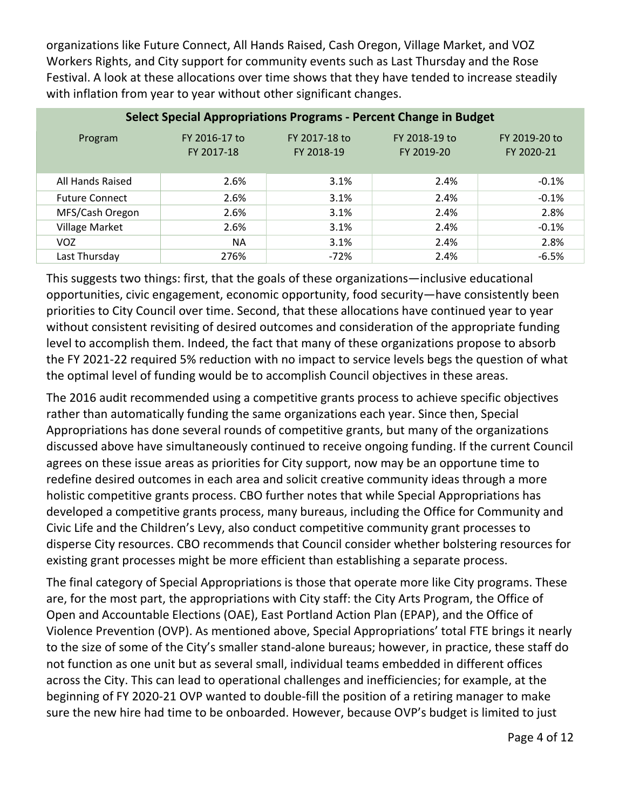organizations like Future Connect, All Hands Raised, Cash Oregon, Village Market, and VOZ Workers Rights, and City support for community events such as Last Thursday and the Rose Festival. A look at these allocations over time shows that they have tended to increase steadily with inflation from year to year without other significant changes.

| <b>Select Special Appropriations Programs - Percent Change in Budget</b> |                             |                             |                             |                             |  |  |  |  |  |
|--------------------------------------------------------------------------|-----------------------------|-----------------------------|-----------------------------|-----------------------------|--|--|--|--|--|
| Program                                                                  | FY 2016-17 to<br>FY 2017-18 | FY 2017-18 to<br>FY 2018-19 | FY 2018-19 to<br>FY 2019-20 | FY 2019-20 to<br>FY 2020-21 |  |  |  |  |  |
| All Hands Raised                                                         | 2.6%                        | 3.1%                        | 2.4%                        | $-0.1%$                     |  |  |  |  |  |
| <b>Future Connect</b>                                                    | 2.6%                        | 3.1%                        | 2.4%                        | $-0.1%$                     |  |  |  |  |  |
| MFS/Cash Oregon                                                          | 2.6%                        | 3.1%                        | 2.4%                        | 2.8%                        |  |  |  |  |  |
| <b>Village Market</b>                                                    | 2.6%                        | 3.1%                        | 2.4%                        | $-0.1%$                     |  |  |  |  |  |
| <b>VOZ</b>                                                               | <b>NA</b>                   | 3.1%                        | 2.4%                        | 2.8%                        |  |  |  |  |  |
| Last Thursday                                                            | 276%                        | -72%                        | 2.4%                        | $-6.5%$                     |  |  |  |  |  |

This suggests two things: first, that the goals of these organizations—inclusive educational opportunities, civic engagement, economic opportunity, food security—have consistently been priorities to City Council over time. Second, that these allocations have continued year to year without consistent revisiting of desired outcomes and consideration of the appropriate funding level to accomplish them. Indeed, the fact that many of these organizations propose to absorb the FY 2021-22 required 5% reduction with no impact to service levels begs the question of what the optimal level of funding would be to accomplish Council objectives in these areas.

The 2016 audit recommended using a competitive grants process to achieve specific objectives rather than automatically funding the same organizations each year. Since then, Special Appropriations has done several rounds of competitive grants, but many of the organizations discussed above have simultaneously continued to receive ongoing funding. If the current Council agrees on these issue areas as priorities for City support, now may be an opportune time to redefine desired outcomes in each area and solicit creative community ideas through a more holistic competitive grants process. CBO further notes that while Special Appropriations has developed a competitive grants process, many bureaus, including the Office for Community and Civic Life and the Children's Levy, also conduct competitive community grant processes to disperse City resources. CBO recommends that Council consider whether bolstering resources for existing grant processes might be more efficient than establishing a separate process.

The final category of Special Appropriations is those that operate more like City programs. These are, for the most part, the appropriations with City staff: the City Arts Program, the Office of Open and Accountable Elections (OAE), East Portland Action Plan (EPAP), and the Office of Violence Prevention (OVP). As mentioned above, Special Appropriations' total FTE brings it nearly to the size of some of the City's smaller stand-alone bureaus; however, in practice, these staff do not function as one unit but as several small, individual teams embedded in different offices across the City. This can lead to operational challenges and inefficiencies; for example, at the beginning of FY 2020-21 OVP wanted to double-fill the position of a retiring manager to make sure the new hire had time to be onboarded. However, because OVP's budget is limited to just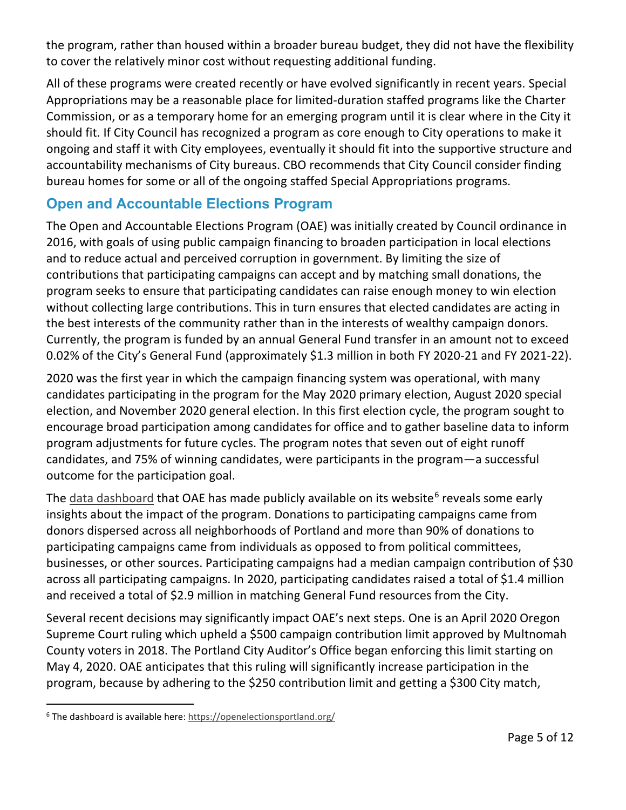the program, rather than housed within a broader bureau budget, they did not have the flexibility to cover the relatively minor cost without requesting additional funding.

All of these programs were created recently or have evolved significantly in recent years. Special Appropriations may be a reasonable place for limited-duration staffed programs like the Charter Commission, or as a temporary home for an emerging program until it is clear where in the City it should fit. If City Council has recognized a program as core enough to City operations to make it ongoing and staff it with City employees, eventually it should fit into the supportive structure and accountability mechanisms of City bureaus. CBO recommends that City Council consider finding bureau homes for some or all of the ongoing staffed Special Appropriations programs.

## **Open and Accountable Elections Program**

The Open and Accountable Elections Program (OAE) was initially created by Council ordinance in 2016, with goals of using public campaign financing to broaden participation in local elections and to reduce actual and perceived corruption in government. By limiting the size of contributions that participating campaigns can accept and by matching small donations, the program seeks to ensure that participating candidates can raise enough money to win election without collecting large contributions. This in turn ensures that elected candidates are acting in the best interests of the community rather than in the interests of wealthy campaign donors. Currently, the program is funded by an annual General Fund transfer in an amount not to exceed 0.02% of the City's General Fund (approximately \$1.3 million in both FY 2020-21 and FY 2021-22).

2020 was the first year in which the campaign financing system was operational, with many candidates participating in the program for the May 2020 primary election, August 2020 special election, and November 2020 general election. In this first election cycle, the program sought to encourage broad participation among candidates for office and to gather baseline data to inform program adjustments for future cycles. The program notes that seven out of eight runoff candidates, and 75% of winning candidates, were participants in the program—a successful outcome for the participation goal.

The [data dashboard](https://openelectionsportland.org/) that OAE has made publicly available on its website<sup>[6](#page-4-0)</sup> reveals some early insights about the impact of the program. Donations to participating campaigns came from donors dispersed across all neighborhoods of Portland and more than 90% of donations to participating campaigns came from individuals as opposed to from political committees, businesses, or other sources. Participating campaigns had a median campaign contribution of \$30 across all participating campaigns. In 2020, participating candidates raised a total of \$1.4 million and received a total of \$2.9 million in matching General Fund resources from the City.

Several recent decisions may significantly impact OAE's next steps. One is an April 2020 Oregon Supreme Court ruling which upheld a \$500 campaign contribution limit approved by Multnomah County voters in 2018. The Portland City Auditor's Office began enforcing this limit starting on May 4, 2020. OAE anticipates that this ruling will significantly increase participation in the program, because by adhering to the \$250 contribution limit and getting a \$300 City match,

<span id="page-4-0"></span><sup>&</sup>lt;sup>6</sup> The dashboard is available here:<https://openelectionsportland.org/>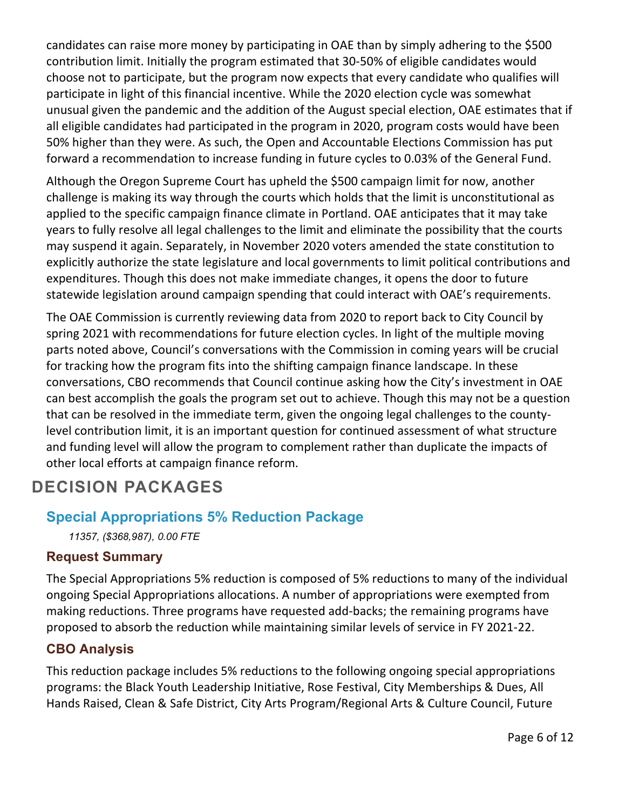candidates can raise more money by participating in OAE than by simply adhering to the \$500 contribution limit. Initially the program estimated that 30-50% of eligible candidates would choose not to participate, but the program now expects that every candidate who qualifies will participate in light of this financial incentive. While the 2020 election cycle was somewhat unusual given the pandemic and the addition of the August special election, OAE estimates that if all eligible candidates had participated in the program in 2020, program costs would have been 50% higher than they were. As such, the Open and Accountable Elections Commission has put forward a recommendation to increase funding in future cycles to 0.03% of the General Fund.

Although the Oregon Supreme Court has upheld the \$500 campaign limit for now, another challenge is making its way through the courts which holds that the limit is unconstitutional as applied to the specific campaign finance climate in Portland. OAE anticipates that it may take years to fully resolve all legal challenges to the limit and eliminate the possibility that the courts may suspend it again. Separately, in November 2020 voters amended the state constitution to explicitly authorize the state legislature and local governments to limit political contributions and expenditures. Though this does not make immediate changes, it opens the door to future statewide legislation around campaign spending that could interact with OAE's requirements.

The OAE Commission is currently reviewing data from 2020 to report back to City Council by spring 2021 with recommendations for future election cycles. In light of the multiple moving parts noted above, Council's conversations with the Commission in coming years will be crucial for tracking how the program fits into the shifting campaign finance landscape. In these conversations, CBO recommends that Council continue asking how the City's investment in OAE can best accomplish the goals the program set out to achieve. Though this may not be a question that can be resolved in the immediate term, given the ongoing legal challenges to the countylevel contribution limit, it is an important question for continued assessment of what structure and funding level will allow the program to complement rather than duplicate the impacts of other local efforts at campaign finance reform.

## **DECISION PACKAGES**

## **Special Appropriations 5% Reduction Package**

*11357, (\$368,987), 0.00 FTE*

#### **Request Summary**

The Special Appropriations 5% reduction is composed of 5% reductions to many of the individual ongoing Special Appropriations allocations. A number of appropriations were exempted from making reductions. Three programs have requested add-backs; the remaining programs have proposed to absorb the reduction while maintaining similar levels of service in FY 2021-22.

#### **CBO Analysis**

This reduction package includes 5% reductions to the following ongoing special appropriations programs: the Black Youth Leadership Initiative, Rose Festival, City Memberships & Dues, All Hands Raised, Clean & Safe District, City Arts Program/Regional Arts & Culture Council, Future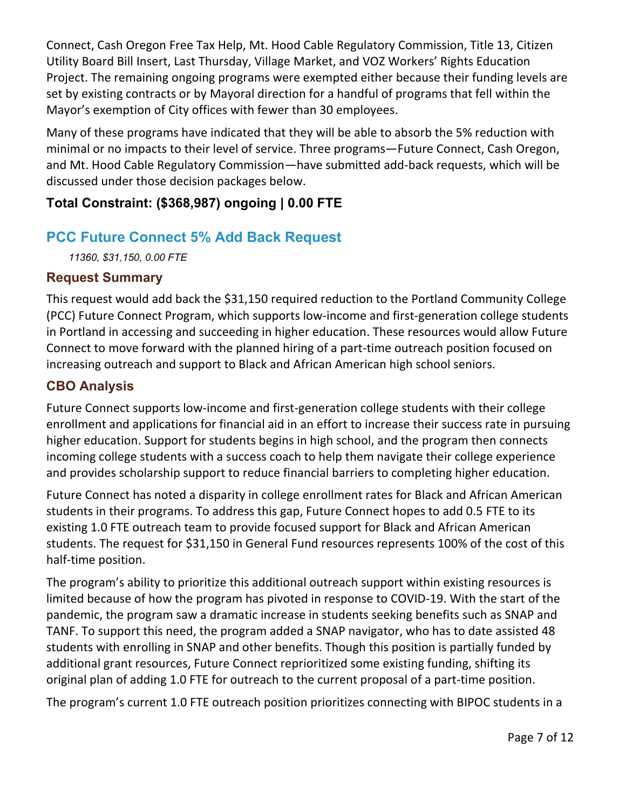Connect, Cash Oregon Free Tax Help, Mt. Hood Cable Regulatory Commission, Title 13, Citizen Utility Board Bill Insert, Last Thursday, Village Market, and VOZ Workers' Rights Education Project. The remaining ongoing programs were exempted either because their funding levels are set by existing contracts or by Mayoral direction for a handful of programs that fell within the Mayor's exemption of City offices with fewer than 30 employees.

Many of these programs have indicated that they will be able to absorb the 5% reduction with minimal or no impacts to their level of service. Three programs—Future Connect, Cash Oregon, and Mt. Hood Cable Regulatory Commission—have submitted add-back requests, which will be discussed under those decision packages below.

#### **Total Constraint: (\$368,987) ongoing | 0.00 FTE**

## **PCC Future Connect 5% Add Back Request**

*11360, \$31,150, 0.00 FTE*

#### **Request Summary**

This request would add back the \$31,150 required reduction to the Portland Community College (PCC) Future Connect Program, which supports low-income and first-generation college students in Portland in accessing and succeeding in higher education. These resources would allow Future Connect to move forward with the planned hiring of a part-time outreach position focused on increasing outreach and support to Black and African American high school seniors.

## **CBO Analysis**

Future Connect supports low-income and first-generation college students with their college enrollment and applications for financial aid in an effort to increase their success rate in pursuing higher education. Support for students begins in high school, and the program then connects incoming college students with a success coach to help them navigate their college experience and provides scholarship support to reduce financial barriers to completing higher education.

Future Connect has noted a disparity in college enrollment rates for Black and African American students in their programs. To address this gap, Future Connect hopes to add 0.5 FTE to its existing 1.0 FTE outreach team to provide focused support for Black and African American students. The request for \$31,150 in General Fund resources represents 100% of the cost of this half-time position.

The program's ability to prioritize this additional outreach support within existing resources is limited because of how the program has pivoted in response to COVID-19. With the start of the pandemic, the program saw a dramatic increase in students seeking benefits such as SNAP and TANF. To support this need, the program added a SNAP navigator, who has to date assisted 48 students with enrolling in SNAP and other benefits. Though this position is partially funded by additional grant resources, Future Connect reprioritized some existing funding, shifting its original plan of adding 1.0 FTE for outreach to the current proposal of a part-time position.

The program's current 1.0 FTE outreach position prioritizes connecting with BIPOC students in a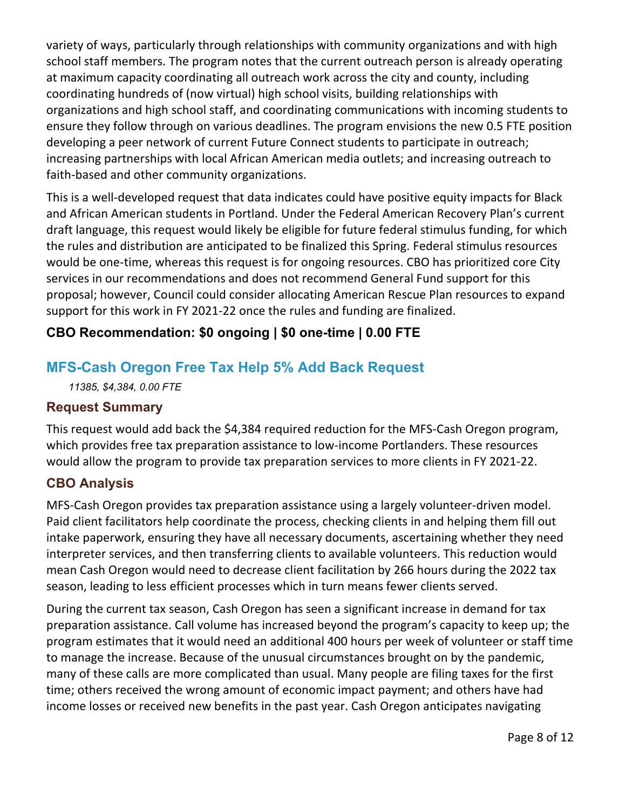variety of ways, particularly through relationships with community organizations and with high school staff members. The program notes that the current outreach person is already operating at maximum capacity coordinating all outreach work across the city and county, including coordinating hundreds of (now virtual) high school visits, building relationships with organizations and high school staff, and coordinating communications with incoming students to ensure they follow through on various deadlines. The program envisions the new 0.5 FTE position developing a peer network of current Future Connect students to participate in outreach; increasing partnerships with local African American media outlets; and increasing outreach to faith-based and other community organizations.

This is a well-developed request that data indicates could have positive equity impacts for Black and African American students in Portland. Under the Federal American Recovery Plan's current draft language, this request would likely be eligible for future federal stimulus funding, for which the rules and distribution are anticipated to be finalized this Spring. Federal stimulus resources would be one-time, whereas this request is for ongoing resources. CBO has prioritized core City services in our recommendations and does not recommend General Fund support for this proposal; however, Council could consider allocating American Rescue Plan resources to expand support for this work in FY 2021-22 once the rules and funding are finalized.

## **CBO Recommendation: \$0 ongoing | \$0 one-time | 0.00 FTE**

## **MFS-Cash Oregon Free Tax Help 5% Add Back Request**

*11385, \$4,384, 0.00 FTE*

#### **Request Summary**

This request would add back the \$4,384 required reduction for the MFS-Cash Oregon program, which provides free tax preparation assistance to low-income Portlanders. These resources would allow the program to provide tax preparation services to more clients in FY 2021-22.

#### **CBO Analysis**

MFS-Cash Oregon provides tax preparation assistance using a largely volunteer-driven model. Paid client facilitators help coordinate the process, checking clients in and helping them fill out intake paperwork, ensuring they have all necessary documents, ascertaining whether they need interpreter services, and then transferring clients to available volunteers. This reduction would mean Cash Oregon would need to decrease client facilitation by 266 hours during the 2022 tax season, leading to less efficient processes which in turn means fewer clients served.

During the current tax season, Cash Oregon has seen a significant increase in demand for tax preparation assistance. Call volume has increased beyond the program's capacity to keep up; the program estimates that it would need an additional 400 hours per week of volunteer or staff time to manage the increase. Because of the unusual circumstances brought on by the pandemic, many of these calls are more complicated than usual. Many people are filing taxes for the first time; others received the wrong amount of economic impact payment; and others have had income losses or received new benefits in the past year. Cash Oregon anticipates navigating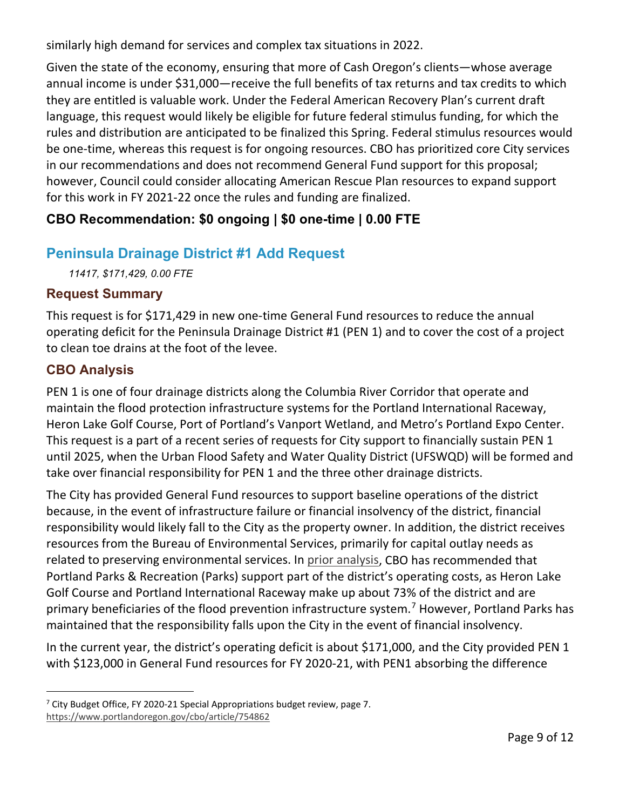similarly high demand for services and complex tax situations in 2022.

Given the state of the economy, ensuring that more of Cash Oregon's clients—whose average annual income is under \$31,000—receive the full benefits of tax returns and tax credits to which they are entitled is valuable work. Under the Federal American Recovery Plan's current draft language, this request would likely be eligible for future federal stimulus funding, for which the rules and distribution are anticipated to be finalized this Spring. Federal stimulus resources would be one-time, whereas this request is for ongoing resources. CBO has prioritized core City services in our recommendations and does not recommend General Fund support for this proposal; however, Council could consider allocating American Rescue Plan resources to expand support for this work in FY 2021-22 once the rules and funding are finalized.

## **CBO Recommendation: \$0 ongoing | \$0 one-time | 0.00 FTE**

## **Peninsula Drainage District #1 Add Request**

*11417, \$171,429, 0.00 FTE*

#### **Request Summary**

This request is for \$171,429 in new one-time General Fund resources to reduce the annual operating deficit for the Peninsula Drainage District #1 (PEN 1) and to cover the cost of a project to clean toe drains at the foot of the levee.

## **CBO Analysis**

PEN 1 is one of four drainage districts along the Columbia River Corridor that operate and maintain the flood protection infrastructure systems for the Portland International Raceway, Heron Lake Golf Course, Port of Portland's Vanport Wetland, and Metro's Portland Expo Center. This request is a part of a recent series of requests for City support to financially sustain PEN 1 until 2025, when the Urban Flood Safety and Water Quality District (UFSWQD) will be formed and take over financial responsibility for PEN 1 and the three other drainage districts.

The City has provided General Fund resources to support baseline operations of the district because, in the event of infrastructure failure or financial insolvency of the district, financial responsibility would likely fall to the City as the property owner. In addition, the district receives resources from the Bureau of Environmental Services, primarily for capital outlay needs as related to preserving environmental services. In [prior analysis,](https://www.portlandoregon.gov/cbo/article/754862) CBO has recommended that Portland Parks & Recreation (Parks) support part of the district's operating costs, as Heron Lake Golf Course and Portland International Raceway make up about 73% of the district and are primary beneficiaries of the flood prevention infrastructure system.<sup>[7](#page-8-0)</sup> However, Portland Parks has maintained that the responsibility falls upon the City in the event of financial insolvency.

In the current year, the district's operating deficit is about \$171,000, and the City provided PEN 1 with \$123,000 in General Fund resources for FY 2020-21, with PEN1 absorbing the difference

<span id="page-8-0"></span><sup>&</sup>lt;sup>7</sup> City Budget Office, FY 2020-21 Special Appropriations budget review, page 7. <https://www.portlandoregon.gov/cbo/article/754862>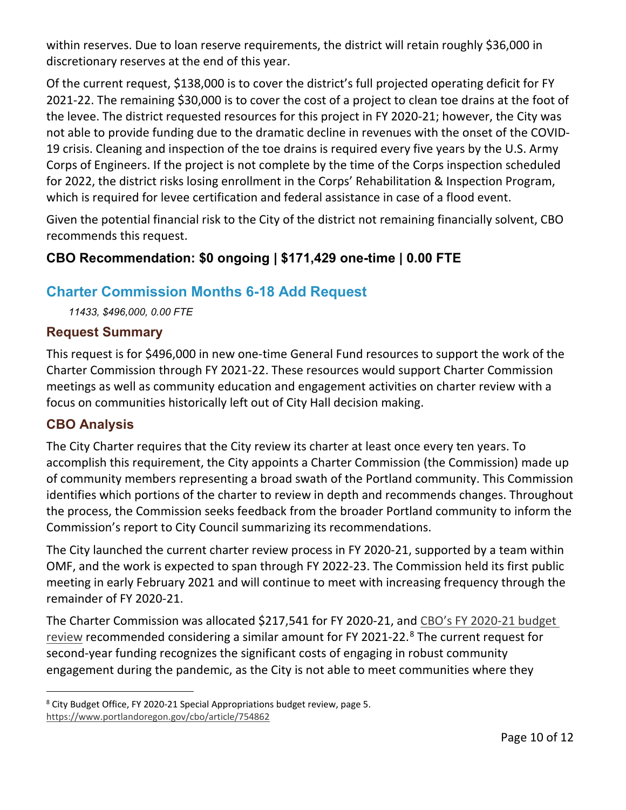within reserves. Due to loan reserve requirements, the district will retain roughly \$36,000 in discretionary reserves at the end of this year.

Of the current request, \$138,000 is to cover the district's full projected operating deficit for FY 2021-22. The remaining \$30,000 is to cover the cost of a project to clean toe drains at the foot of the levee. The district requested resources for this project in FY 2020-21; however, the City was not able to provide funding due to the dramatic decline in revenues with the onset of the COVID-19 crisis. Cleaning and inspection of the toe drains is required every five years by the U.S. Army Corps of Engineers. If the project is not complete by the time of the Corps inspection scheduled for 2022, the district risks losing enrollment in the Corps' Rehabilitation & Inspection Program, which is required for levee certification and federal assistance in case of a flood event.

Given the potential financial risk to the City of the district not remaining financially solvent, CBO recommends this request.

## **CBO Recommendation: \$0 ongoing | \$171,429 one-time | 0.00 FTE**

## **Charter Commission Months 6-18 Add Request**

*11433, \$496,000, 0.00 FTE*

#### **Request Summary**

This request is for \$496,000 in new one-time General Fund resources to support the work of the Charter Commission through FY 2021-22. These resources would support Charter Commission meetings as well as community education and engagement activities on charter review with a focus on communities historically left out of City Hall decision making.

#### **CBO Analysis**

The City Charter requires that the City review its charter at least once every ten years. To accomplish this requirement, the City appoints a Charter Commission (the Commission) made up of community members representing a broad swath of the Portland community. This Commission identifies which portions of the charter to review in depth and recommends changes. Throughout the process, the Commission seeks feedback from the broader Portland community to inform the Commission's report to City Council summarizing its recommendations.

The City launched the current charter review process in FY 2020-21, supported by a team within OMF, and the work is expected to span through FY 2022-23. The Commission held its first public meeting in early February 2021 and will continue to meet with increasing frequency through the remainder of FY 2020-21.

The Charter Commission was allocated \$217,541 for FY 2020-21, and [CBO's FY 2020-21 budget](https://www.portlandoregon.gov/cbo/article/754862)  [review](https://www.portlandoregon.gov/cbo/article/754862) recommended considering a similar amount for FY 2021-22. $8$  The current request for second-year funding recognizes the significant costs of engaging in robust community engagement during the pandemic, as the City is not able to meet communities where they

<span id="page-9-0"></span><sup>8</sup> City Budget Office, FY 2020-21 Special Appropriations budget review, page 5. <https://www.portlandoregon.gov/cbo/article/754862>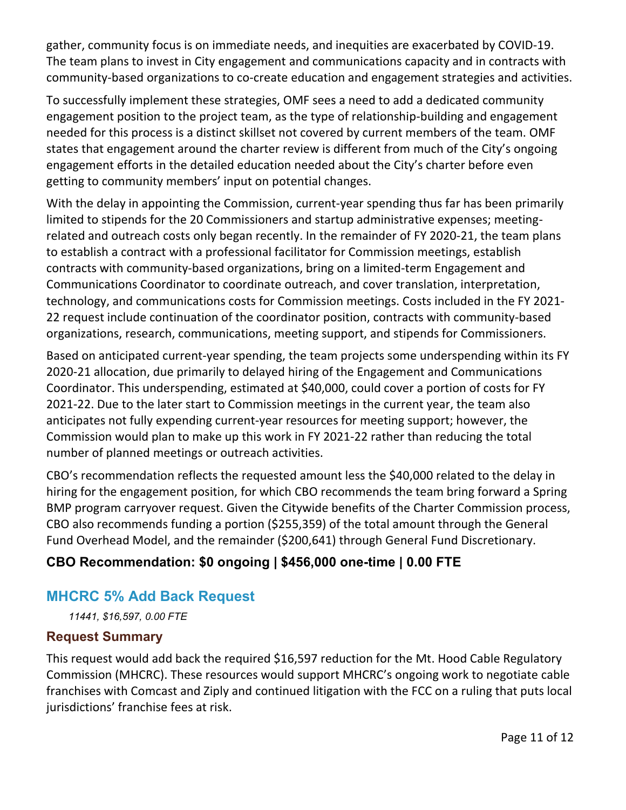gather, community focus is on immediate needs, and inequities are exacerbated by COVID-19. The team plans to invest in City engagement and communications capacity and in contracts with community-based organizations to co-create education and engagement strategies and activities.

To successfully implement these strategies, OMF sees a need to add a dedicated community engagement position to the project team, as the type of relationship-building and engagement needed for this process is a distinct skillset not covered by current members of the team. OMF states that engagement around the charter review is different from much of the City's ongoing engagement efforts in the detailed education needed about the City's charter before even getting to community members' input on potential changes.

With the delay in appointing the Commission, current-year spending thus far has been primarily limited to stipends for the 20 Commissioners and startup administrative expenses; meetingrelated and outreach costs only began recently. In the remainder of FY 2020-21, the team plans to establish a contract with a professional facilitator for Commission meetings, establish contracts with community-based organizations, bring on a limited-term Engagement and Communications Coordinator to coordinate outreach, and cover translation, interpretation, technology, and communications costs for Commission meetings. Costs included in the FY 2021- 22 request include continuation of the coordinator position, contracts with community-based organizations, research, communications, meeting support, and stipends for Commissioners.

Based on anticipated current-year spending, the team projects some underspending within its FY 2020-21 allocation, due primarily to delayed hiring of the Engagement and Communications Coordinator. This underspending, estimated at \$40,000, could cover a portion of costs for FY 2021-22. Due to the later start to Commission meetings in the current year, the team also anticipates not fully expending current-year resources for meeting support; however, the Commission would plan to make up this work in FY 2021-22 rather than reducing the total number of planned meetings or outreach activities.

CBO's recommendation reflects the requested amount less the \$40,000 related to the delay in hiring for the engagement position, for which CBO recommends the team bring forward a Spring BMP program carryover request. Given the Citywide benefits of the Charter Commission process, CBO also recommends funding a portion (\$255,359) of the total amount through the General Fund Overhead Model, and the remainder (\$200,641) through General Fund Discretionary.

## **CBO Recommendation: \$0 ongoing | \$456,000 one-time | 0.00 FTE**

## **MHCRC 5% Add Back Request**

*11441, \$16,597, 0.00 FTE*

#### **Request Summary**

This request would add back the required \$16,597 reduction for the Mt. Hood Cable Regulatory Commission (MHCRC). These resources would support MHCRC's ongoing work to negotiate cable franchises with Comcast and Ziply and continued litigation with the FCC on a ruling that puts local jurisdictions' franchise fees at risk.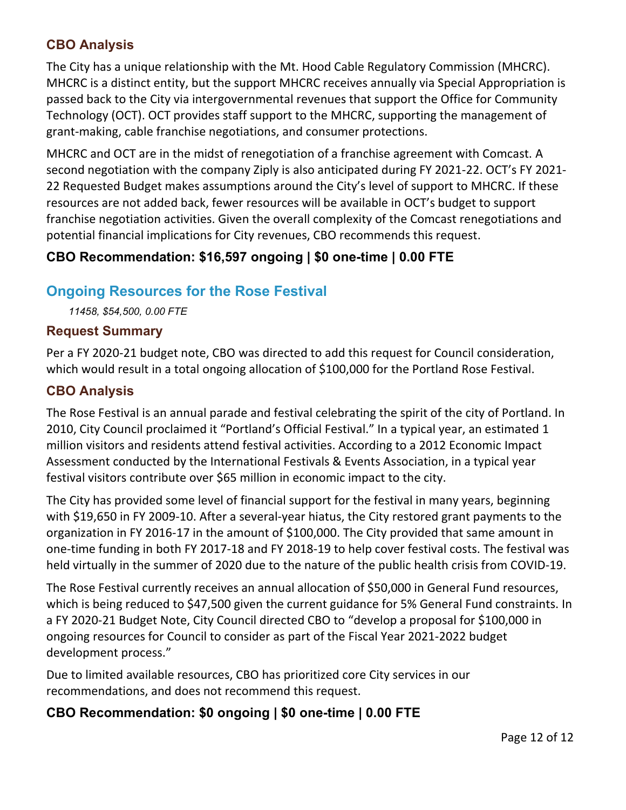#### **CBO Analysis**

The City has a unique relationship with the Mt. Hood Cable Regulatory Commission (MHCRC). MHCRC is a distinct entity, but the support MHCRC receives annually via Special Appropriation is passed back to the City via intergovernmental revenues that support the Office for Community Technology (OCT). OCT provides staff support to the MHCRC, supporting the management of grant-making, cable franchise negotiations, and consumer protections.

MHCRC and OCT are in the midst of renegotiation of a franchise agreement with Comcast. A second negotiation with the company Ziply is also anticipated during FY 2021-22. OCT's FY 2021- 22 Requested Budget makes assumptions around the City's level of support to MHCRC. If these resources are not added back, fewer resources will be available in OCT's budget to support franchise negotiation activities. Given the overall complexity of the Comcast renegotiations and potential financial implications for City revenues, CBO recommends this request.

## **CBO Recommendation: \$16,597 ongoing | \$0 one-time | 0.00 FTE**

## **Ongoing Resources for the Rose Festival**

*11458, \$54,500, 0.00 FTE*

#### **Request Summary**

Per a FY 2020-21 budget note, CBO was directed to add this request for Council consideration, which would result in a total ongoing allocation of \$100,000 for the Portland Rose Festival.

#### **CBO Analysis**

The Rose Festival is an annual parade and festival celebrating the spirit of the city of Portland. In 2010, City Council proclaimed it "Portland's Official Festival." In a typical year, an estimated 1 million visitors and residents attend festival activities. According to a 2012 Economic Impact Assessment conducted by the International Festivals & Events Association, in a typical year festival visitors contribute over \$65 million in economic impact to the city.

The City has provided some level of financial support for the festival in many years, beginning with \$19,650 in FY 2009-10. After a several-year hiatus, the City restored grant payments to the organization in FY 2016-17 in the amount of \$100,000. The City provided that same amount in one-time funding in both FY 2017-18 and FY 2018-19 to help cover festival costs. The festival was held virtually in the summer of 2020 due to the nature of the public health crisis from COVID-19.

The Rose Festival currently receives an annual allocation of \$50,000 in General Fund resources, which is being reduced to \$47,500 given the current guidance for 5% General Fund constraints. In a FY 2020-21 Budget Note, City Council directed CBO to "develop a proposal for \$100,000 in ongoing resources for Council to consider as part of the Fiscal Year 2021-2022 budget development process."

Due to limited available resources, CBO has prioritized core City services in our recommendations, and does not recommend this request.

#### **CBO Recommendation: \$0 ongoing | \$0 one-time | 0.00 FTE**